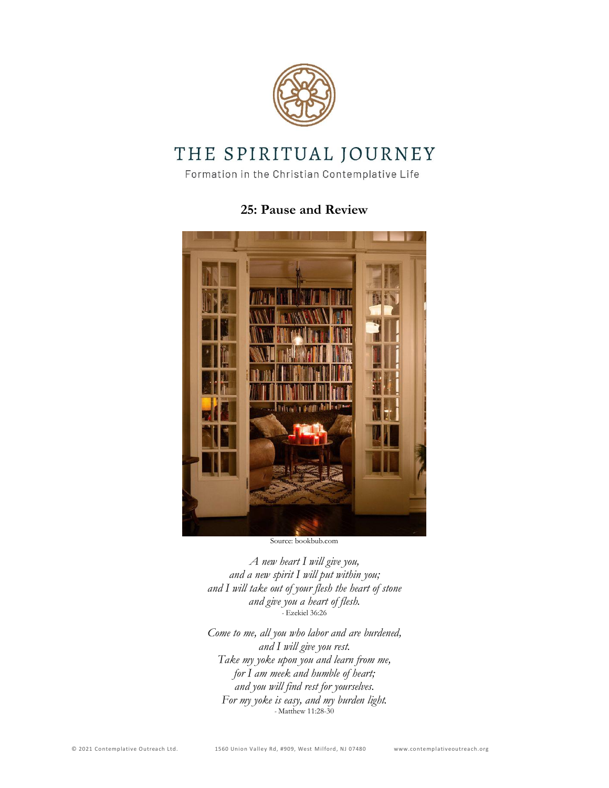

# THE SPIRITUAL JOURNEY

Formation in the Christian Contemplative Life

# **25: Pause and Review**



Source: bookbub.com

*A new heart I will give you, and a new spirit I will put within you; and I will take out of your flesh the heart of stone and give you a heart of flesh. -* Ezekiel 36:26

*Come to me, all you who labor and are burdened, and I will give you rest. Take my yoke upon you and learn from me, for I am meek and humble of heart; and you will find rest for yourselves. For my yoke is easy, and my burden light. -* Matthew 11:28-30